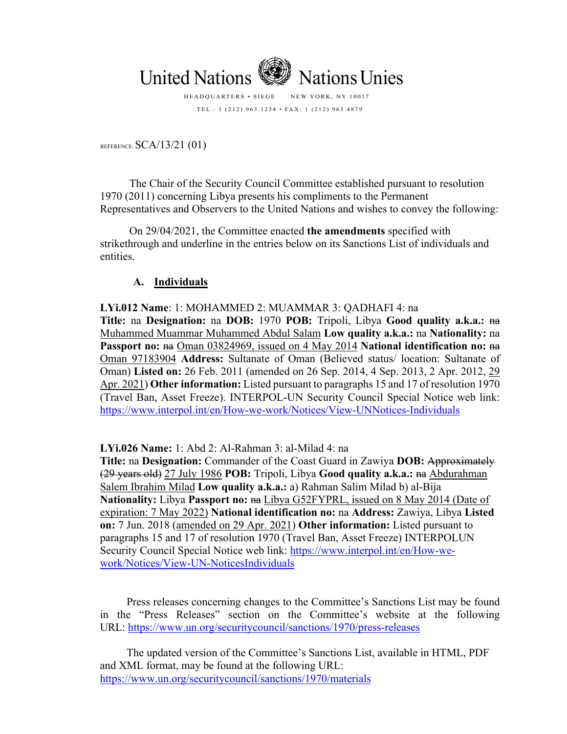

TEL.: 1 (212) 963.1234 • FAX: 1 (212) 963.4879

REFERENCE: SCA/13/21 (01)

The Chair of the Security Council Committee established pursuant to resolution 1970 (2011) concerning Libya presents his compliments to the Permanent Representatives and Observers to the United Nations and wishes to convey the following:

On 29/04/2021, the Committee enacted **the amendments** specified with strikethrough and underline in the entries below on its Sanctions List of individuals and entities.

## **A. Individuals**

**LYi.012 Name**: 1: MOHAMMED 2: MUAMMAR 3: QADHAFI 4: na **Title:** na **Designation:** na **DOB:** 1970 **POB:** Tripoli, Libya **Good quality a.k.a.:** na Muhammed Muammar Muhammed Abdul Salam **Low quality a.k.a.:** na **Nationality:** na **Passport no:** na Oman 03824969, issued on 4 May 2014 **National identification no:** na Oman 97183904 **Address:** Sultanate of Oman (Believed status/ location: Sultanate of Oman) **Listed on:** 26 Feb. 2011 (amended on 26 Sep. 2014, 4 Sep. 2013, 2 Apr. 2012, 29 Apr. 2021) **Other information:** Listed pursuant to paragraphs 15 and 17 of resolution 1970 (Travel Ban, Asset Freeze). INTERPOL-UN Security Council Special Notice web link: https://www.interpol.int/en/How-we-work/Notices/View-UNNotices-Individuals

## **LYi.026 Name:** 1: Abd 2: Al-Rahman 3: al-Milad 4: na

**Title:** na **Designation:** Commander of the Coast Guard in Zawiya **DOB:** Approximately (29 years old) 27 July 1986 **POB:** Tripoli, Libya **Good quality a.k.a.:** na Abdurahman Salem Ibrahim Milad **Low quality a.k.a.:** a) Rahman Salim Milad b) al-Bija Nationality: Libya Passport no:  $n =$  Libya G52FYPRL, issued on 8 May 2014 (Date of expiration: 7 May 2022) **National identification no:** na **Address:** Zawiya, Libya **Listed on:** 7 Jun. 2018 (amended on 29 Apr. 2021) **Other information:** Listed pursuant to paragraphs 15 and 17 of resolution 1970 (Travel Ban, Asset Freeze) INTERPOLUN Security Council Special Notice web link: https://www.interpol.int/en/How-wework/Notices/View-UN-NoticesIndividuals

Press releases concerning changes to the Committee's Sanctions List may be found in the "Press Releases" section on the Committee's website at the following URL: https://www.un.org/securitycouncil/sanctions/1970/press-releases

The updated version of the Committee's Sanctions List, available in HTML, PDF and XML format, may be found at the following URL: https://www.un.org/securitycouncil/sanctions/1970/materials